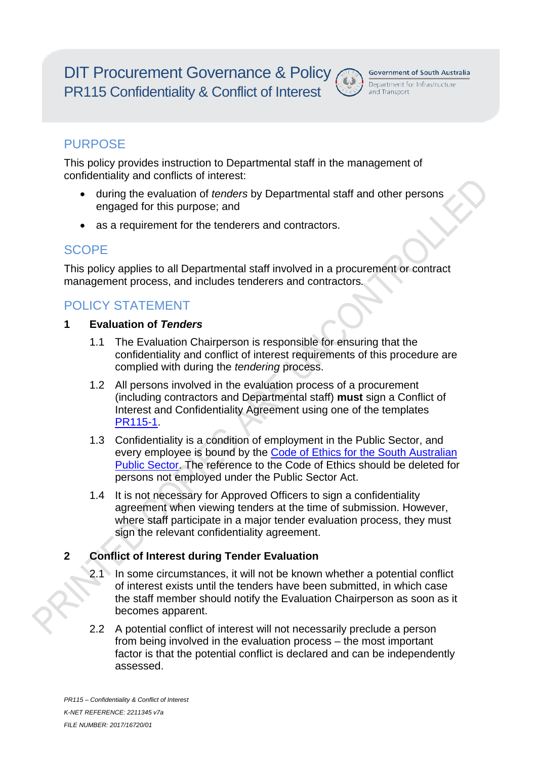DIT Procurement Governance & Policy PR115 Confidentiality & Conflict of Interest



## **PURPOSE**

This policy provides instruction to Departmental staff in the management of confidentiality and conflicts of interest:

- during the evaluation of *tenders* by Departmental staff and other persons engaged for this purpose; and
- as a requirement for the tenderers and contractors.

## SCOPE

This policy applies to all Departmental staff involved in a procurement or contract management process, and includes tenderers and contractors*.*

# POLICY STATEMENT

#### **1 Evaluation of** *Tenders*

- 1.1 The Evaluation Chairperson is responsible for ensuring that the confidentiality and conflict of interest requirements of this procedure are complied with during the *tendering* process.
- 1.2 All persons involved in the evaluation process of a procurement (including contractors and Departmental staff) **must** sign a Conflict of Interest and Confidentiality Agreement using one of the templates PR115-1.
- 1.3 Confidentiality is a condition of employment in the Public Sector, and every employee is bound by the Code of Ethics for the South Australian Public Sector. The reference to the Code of Ethics should be deleted for persons not employed under the Public Sector Act.
- 1.4 It is not necessary for Approved Officers to sign a confidentiality agreement when viewing tenders at the time of submission. However, where staff participate in a major tender evaluation process, they must sign the relevant confidentiality agreement.

### **2 Conflict of Interest during Tender Evaluation**

- 2.1 In some circumstances, it will not be known whether a potential conflict of interest exists until the tenders have been submitted, in which case the staff member should notify the Evaluation Chairperson as soon as it becomes apparent.
- 2.2 A potential conflict of interest will not necessarily preclude a person from being involved in the evaluation process – the most important factor is that the potential conflict is declared and can be independently assessed.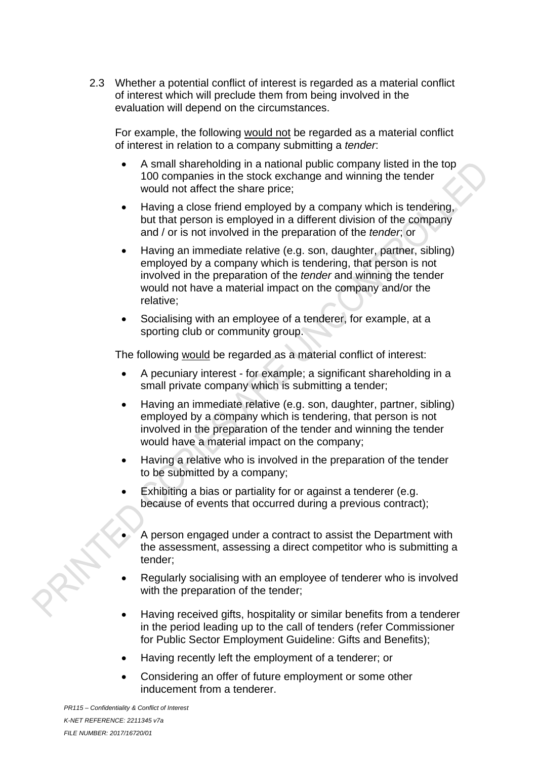2.3 Whether a potential conflict of interest is regarded as a material conflict of interest which will preclude them from being involved in the evaluation will depend on the circumstances.

For example, the following would not be regarded as a material conflict of interest in relation to a company submitting a *tender*:

- A small shareholding in a national public company listed in the top 100 companies in the stock exchange and winning the tender would not affect the share price;
- Having a close friend employed by a company which is tendering, but that person is employed in a different division of the company and / or is not involved in the preparation of the *tender*; or
- Having an immediate relative (e.g. son, daughter, partner, sibling) employed by a company which is tendering, that person is not involved in the preparation of the *tender* and winning the tender would not have a material impact on the company and/or the relative;
- Socialising with an employee of a tenderer, for example, at a sporting club or community group.

The following would be regarded as a material conflict of interest:

- A pecuniary interest for example; a significant shareholding in a small private company which is submitting a tender;
- Having an immediate relative (e.g. son, daughter, partner, sibling) employed by a company which is tendering, that person is not involved in the preparation of the tender and winning the tender would have a material impact on the company;
- Having a relative who is involved in the preparation of the tender to be submitted by a company;
- Exhibiting a bias or partiality for or against a tenderer (e.g. because of events that occurred during a previous contract);
	- A person engaged under a contract to assist the Department with the assessment, assessing a direct competitor who is submitting a tender;
- Regularly socialising with an employee of tenderer who is involved with the preparation of the tender;
- Having received gifts, hospitality or similar benefits from a tenderer in the period leading up to the call of tenders (refer [Commissioner](https://publicsector.sa.gov.au/policies-standards/guidelines-and-determinations/)  [for Public Sector Employment Guideline: Gifts and Benefits\)](https://publicsector.sa.gov.au/policies-standards/guidelines-and-determinations/);
- Having recently left the employment of a tenderer; or
- Considering an offer of future employment or some other inducement from a tenderer.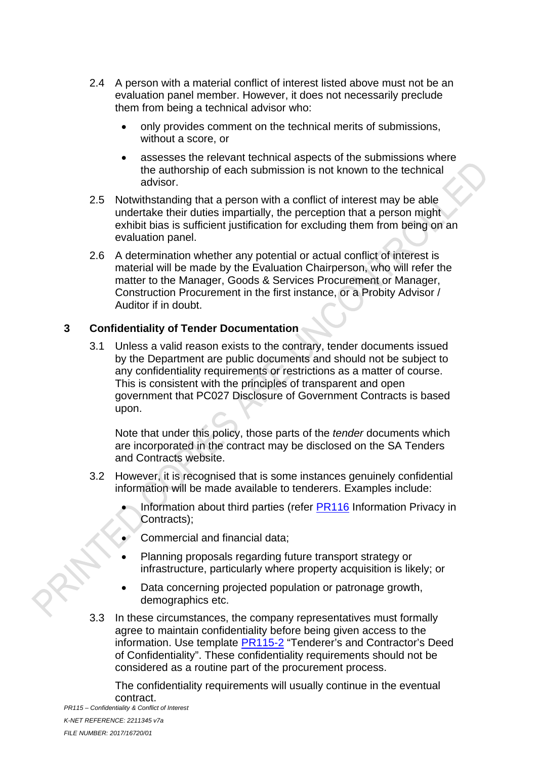- 2.4 A person with a material conflict of interest listed above must not be an evaluation panel member. However, it does not necessarily preclude them from being a technical advisor who:
	- only provides comment on the technical merits of submissions, without a score, or
	- assesses the relevant technical aspects of the submissions where the authorship of each submission is not known to the technical advisor.
- 2.5 Notwithstanding that a person with a conflict of interest may be able undertake their duties impartially, the perception that a person might exhibit bias is sufficient justification for excluding them from being on an evaluation panel.
- 2.6 A determination whether any potential or actual conflict of interest is material will be made by the Evaluation Chairperson, who will refer the matter to the Manager, Goods & Services Procurement or Manager, Construction Procurement in the first instance, or a Probity Advisor / Auditor if in doubt.

#### **3 Confidentiality of Tender Documentation**

3.1 Unless a valid reason exists to the contrary, tender documents issued by the Department are public documents and should not be subject to any confidentiality requirements or restrictions as a matter of course. This is consistent with the principles of transparent and open government that PC027 Disclosure of Government Contracts is based upon.

Note that under this policy, those parts of the *tender* documents which are incorporated in the contract may be disclosed on the SA Tenders and Contracts website.

- 3.2 However, it is recognised that is some instances genuinely confidential information will be made available to tenderers. Examples include:
	- Information about third parties (refer PR116 Information Privacy in Contracts);
	- Commercial and financial data;
	- Planning proposals regarding future transport strategy or infrastructure, particularly where property acquisition is likely; or
	- Data concerning projected population or patronage growth, demographics etc.
- 3.3 In these circumstances, the company representatives must formally agree to maintain confidentiality before being given access to the information. Use template **PR115-2** "Tenderer's and Contractor's Deed of Confidentiality". These confidentiality requirements should not be considered as a routine part of the procurement process.

The confidentiality requirements will usually continue in the eventual contract.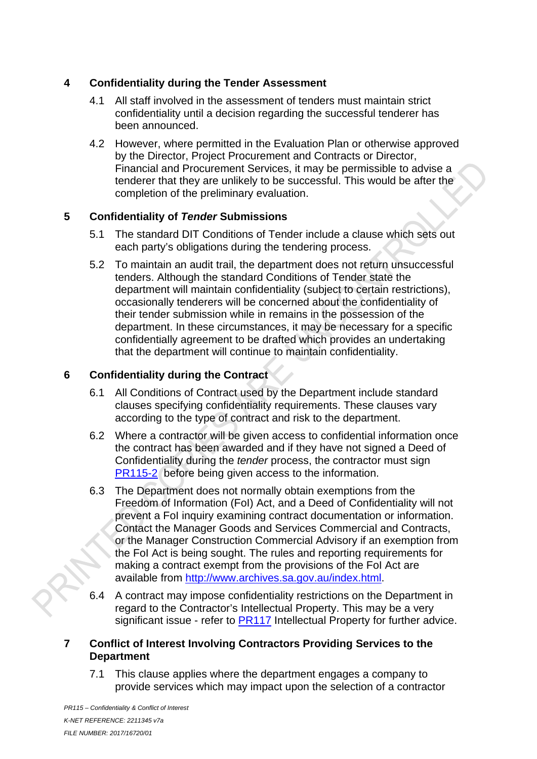#### **4 Confidentiality during the Tender Assessment**

- 4.1 All staff involved in the assessment of tenders must maintain strict confidentiality until a decision regarding the successful tenderer has been announced.
- 4.2 However, where permitted in the Evaluation Plan or otherwise approved by the Director, Project Procurement and Contracts or Director, Financial and Procurement Services, it may be permissible to advise a tenderer that they are unlikely to be successful. This would be after the completion of the preliminary evaluation.

#### **5 Confidentiality of** *Tender* **Submissions**

- 5.1 The standard DIT Conditions of Tender include a clause which sets out each party's obligations during the tendering process.
- 5.2 To maintain an audit trail, the department does not return unsuccessful tenders. Although the standard Conditions of Tender state the department will maintain confidentiality (subject to certain restrictions), occasionally tenderers will be concerned about the confidentiality of their tender submission while in remains in the possession of the department. In these circumstances, it may be necessary for a specific confidentially agreement to be drafted which provides an undertaking that the department will continue to maintain confidentiality.

#### **6 Confidentiality during the Contract**

- 6.1 All Conditions of Contract used by the Department include standard clauses specifying confidentiality requirements. These clauses vary according to the type of contract and risk to the department.
- 6.2 Where a contractor will be given access to confidential information once the contract has been awarded and if they have not signed a Deed of Confidentiality during the *tender* process, the contractor must sign PR115-2 before being given access to the information.
- 6.3 The Department does not normally obtain exemptions from the Freedom of Information (FoI) Act, and a Deed of Confidentiality will not prevent a FoI inquiry examining contract documentation or information. Contact the Manager Goods and Services Commercial and Contracts, or the Manager Construction Commercial Advisory if an exemption from the FoI Act is being sought. The rules and reporting requirements for making a contract exempt from the provisions of the FoI Act are available from http://www.archives.sa.gov.au/index.html.
- 6.4 A contract may impose confidentiality restrictions on the Department in regard to the Contractor's Intellectual Property. This may be a very significant issue - refer to PR117 Intellectual Property for further advice.

#### **7 Conflict of Interest Involving Contractors Providing Services to the Department**

7.1 This clause applies where the department engages a company to provide services which may impact upon the selection of a contractor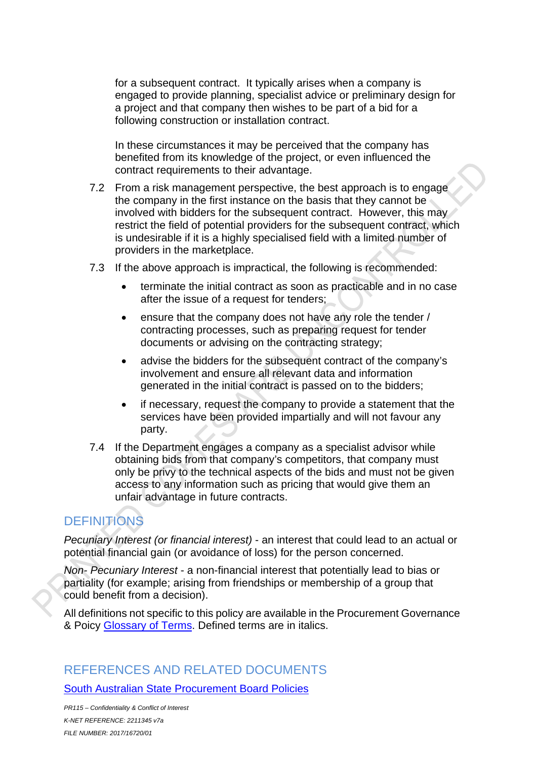for a subsequent contract. It typically arises when a company is engaged to provide planning, specialist advice or preliminary design for a project and that company then wishes to be part of a bid for a following construction or installation contract.

In these circumstances it may be perceived that the company has benefited from its knowledge of the project, or even influenced the contract requirements to their advantage.

- 7.2 From a risk management perspective, the best approach is to engage the company in the first instance on the basis that they cannot be involved with bidders for the subsequent contract. However, this may restrict the field of potential providers for the subsequent contract, which is undesirable if it is a highly specialised field with a limited number of providers in the marketplace.
- 7.3 If the above approach is impractical, the following is recommended:
	- terminate the initial contract as soon as practicable and in no case after the issue of a request for tenders;
	- ensure that the company does not have any role the tender / contracting processes, such as preparing request for tender documents or advising on the contracting strategy;
	- advise the bidders for the subsequent contract of the company's involvement and ensure all relevant data and information generated in the initial contract is passed on to the bidders;
	- if necessary, request the company to provide a statement that the services have been provided impartially and will not favour any party.
- 7.4 If the Department engages a company as a specialist advisor while obtaining bids from that company's competitors, that company must only be privy to the technical aspects of the bids and must not be given access to any information such as pricing that would give them an unfair advantage in future contracts.

# **DEFINITIONS**

*Pecuniary Interest (or financial interest)* - an interest that could lead to an actual or potential financial gain (or avoidance of loss) for the person concerned.

*Non- Pecuniary Interest* - a non-financial interest that potentially lead to bias or partiality (for example; arising from friendships or membership of a group that could benefit from a decision).

All definitions not specific to this policy are available in the Procurement Governance & Poicy Glossary of Terms. Defined terms are in italics.

## REFERENCES AND RELATED DOCUMENTS

South Australian State Procurement Board Policies